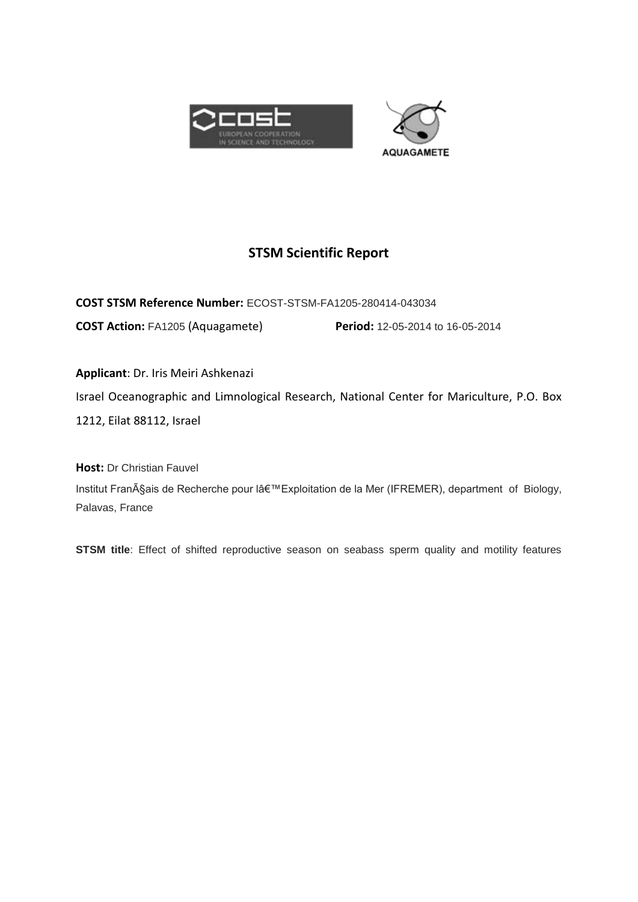



# **STSM Scientific Report**

**COST STSM Reference Number:** ECOST-STSM-FA1205-280414-043034 **COST Action:** FA1205 (Aquagamete) **Period:** 12-05-2014 to 16-05-2014

**Applicant**: Dr. Iris Meiri Ashkenazi Israel Oceanographic and Limnological Research, National Center for Mariculture, P.O. Box 1212, Eilat 88112, Israel

**Host:** Dr Christian Fauvel Institut Français de Recherche pour lâ€<sup>™</sup> Exploitation de la Mer (IFREMER), department of Biology, Palavas, France

**STSM title**: Effect of shifted reproductive season on seabass sperm quality and motility features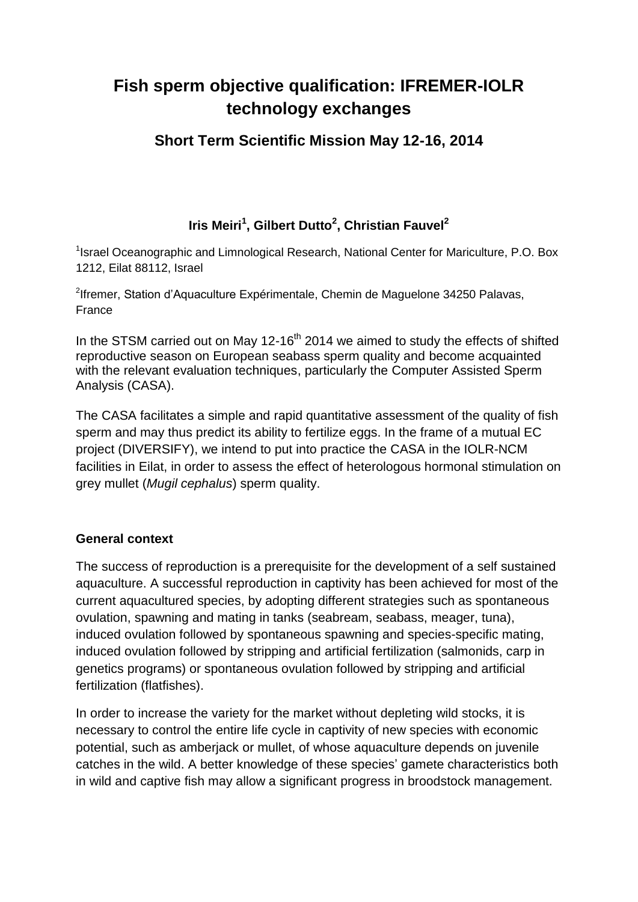# **Fish sperm objective qualification: IFREMER-IOLR technology exchanges**

# **Short Term Scientific Mission May 12-16, 2014**

# **Iris Meiri<sup>1</sup> , Gilbert Dutto<sup>2</sup> , Christian Fauvel<sup>2</sup>**

<sup>1</sup> Israel Oceanographic and Limnological Research, National Center for Mariculture, P.O. Box 1212, Eilat 88112, Israel

<sup>2</sup>lfremer, Station d'Aquaculture Expérimentale, Chemin de Maguelone 34250 Palavas, France

In the STSM carried out on May 12-16<sup>th</sup> 2014 we aimed to study the effects of shifted reproductive season on European seabass sperm quality and become acquainted with the relevant evaluation techniques, particularly the Computer Assisted Sperm Analysis (CASA).

The CASA facilitates a simple and rapid quantitative assessment of the quality of fish sperm and may thus predict its ability to fertilize eggs. In the frame of a mutual EC project (DIVERSIFY), we intend to put into practice the CASA in the IOLR-NCM facilities in Eilat, in order to assess the effect of heterologous hormonal stimulation on grey mullet (*Mugil cephalus*) sperm quality.

#### **General context**

The success of reproduction is a prerequisite for the development of a self sustained aquaculture. A successful reproduction in captivity has been achieved for most of the current aquacultured species, by adopting different strategies such as spontaneous ovulation, spawning and mating in tanks (seabream, seabass, meager, tuna), induced ovulation followed by spontaneous spawning and species-specific mating, induced ovulation followed by stripping and artificial fertilization (salmonids, carp in genetics programs) or spontaneous ovulation followed by stripping and artificial fertilization (flatfishes).

In order to increase the variety for the market without depleting wild stocks, it is necessary to control the entire life cycle in captivity of new species with economic potential, such as amberjack or mullet, of whose aquaculture depends on juvenile catches in the wild. A better knowledge of these species' gamete characteristics both in wild and captive fish may allow a significant progress in broodstock management.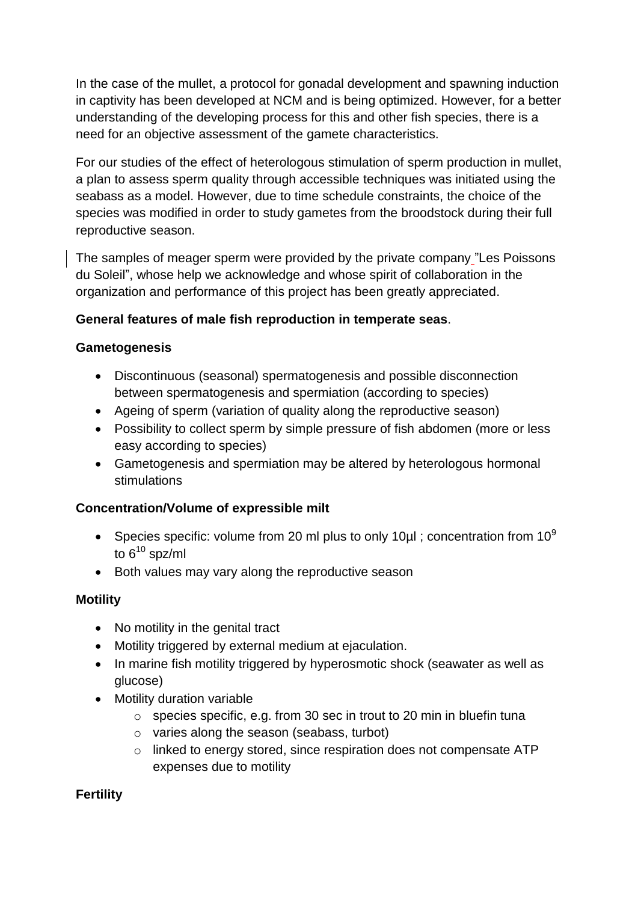In the case of the mullet, a protocol for gonadal development and spawning induction in captivity has been developed at NCM and is being optimized. However, for a better understanding of the developing process for this and other fish species, there is a need for an objective assessment of the gamete characteristics.

For our studies of the effect of heterologous stimulation of sperm production in mullet, a plan to assess sperm quality through accessible techniques was initiated using the seabass as a model. However, due to time schedule constraints, the choice of the species was modified in order to study gametes from the broodstock during their full reproductive season.

The samples of meager sperm were provided by the private company "Les Poissons du Soleil", whose help we acknowledge and whose spirit of collaboration in the organization and performance of this project has been greatly appreciated.

### **General features of male fish reproduction in temperate seas**.

#### **Gametogenesis**

- Discontinuous (seasonal) spermatogenesis and possible disconnection between spermatogenesis and spermiation (according to species)
- Ageing of sperm (variation of quality along the reproductive season)
- Possibility to collect sperm by simple pressure of fish abdomen (more or less easy according to species)
- Gametogenesis and spermiation may be altered by heterologous hormonal stimulations

# **Concentration/Volume of expressible milt**

- Species specific: volume from 20 ml plus to only 10ul ; concentration from  $10^9$ to  $6^{10}$  spz/ml
- Both values may vary along the reproductive season

#### **Motility**

- No motility in the genital tract
- Motility triggered by external medium at ejaculation.
- In marine fish motility triggered by hyperosmotic shock (seawater as well as glucose)
- Motility duration variable
	- o species specific, e.g. from 30 sec in trout to 20 min in bluefin tuna
	- o varies along the season (seabass, turbot)
	- o linked to energy stored, since respiration does not compensate ATP expenses due to motility

# **Fertility**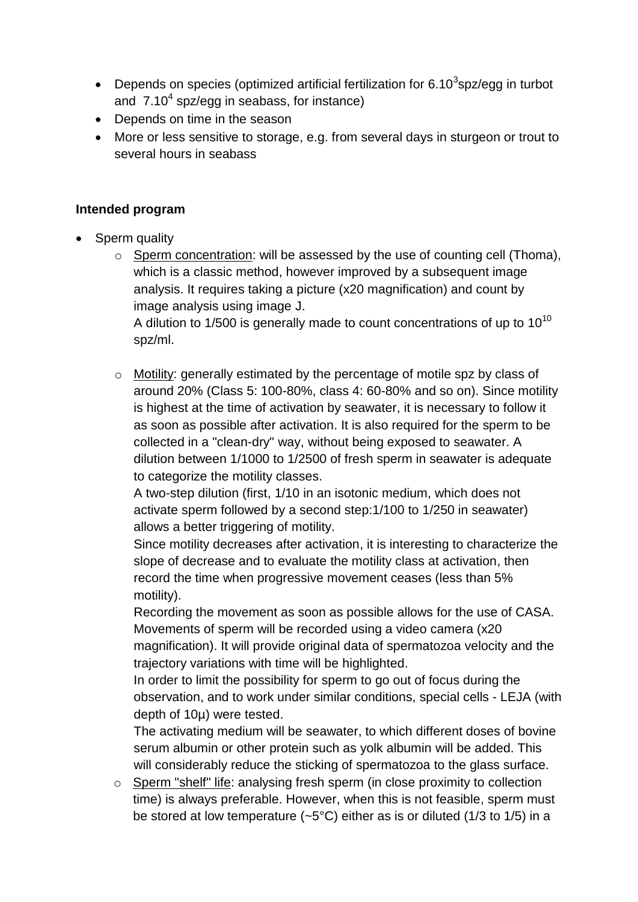- Depends on species (optimized artificial fertilization for 6.10<sup>3</sup>spz/egg in turbot and  $7.10<sup>4</sup>$  spz/egg in seabass, for instance)
- Depends on time in the season
- More or less sensitive to storage, e.g. from several days in sturgeon or trout to several hours in seabass

#### **Intended program**

- Sperm quality
	- $\circ$  Sperm concentration: will be assessed by the use of counting cell (Thoma), which is a classic method, however improved by a subsequent image analysis. It requires taking a picture (x20 magnification) and count by image analysis using image J.

A dilution to  $1/500$  is generally made to count concentrations of up to  $10^{10}$ spz/ml.

o Motility: generally estimated by the percentage of motile spz by class of around 20% (Class 5: 100-80%, class 4: 60-80% and so on). Since motility is highest at the time of activation by seawater, it is necessary to follow it as soon as possible after activation. It is also required for the sperm to be collected in a "clean-dry" way, without being exposed to seawater. A dilution between 1/1000 to 1/2500 of fresh sperm in seawater is adequate to categorize the motility classes.

A two-step dilution (first, 1/10 in an isotonic medium, which does not activate sperm followed by a second step:1/100 to 1/250 in seawater) allows a better triggering of motility.

Since motility decreases after activation, it is interesting to characterize the slope of decrease and to evaluate the motility class at activation, then record the time when progressive movement ceases (less than 5% motility).

Recording the movement as soon as possible allows for the use of CASA. Movements of sperm will be recorded using a video camera (x20 magnification). It will provide original data of spermatozoa velocity and the trajectory variations with time will be highlighted.

In order to limit the possibility for sperm to go out of focus during the observation, and to work under similar conditions, special cells - LEJA (with depth of 10µ) were tested.

The activating medium will be seawater, to which different doses of bovine serum albumin or other protein such as yolk albumin will be added. This will considerably reduce the sticking of spermatozoa to the glass surface.

o Sperm "shelf" life: analysing fresh sperm (in close proximity to collection time) is always preferable. However, when this is not feasible, sperm must be stored at low temperature  $(-5^{\circ}C)$  either as is or diluted (1/3 to 1/5) in a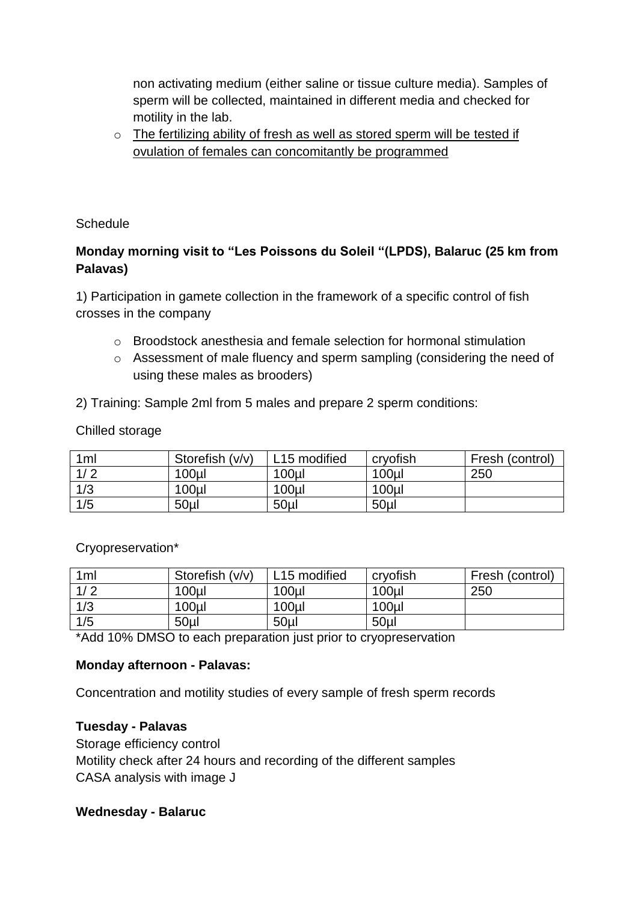non activating medium (either saline or tissue culture media). Samples of sperm will be collected, maintained in different media and checked for motility in the lab.

o The fertilizing ability of fresh as well as stored sperm will be tested if ovulation of females can concomitantly be programmed

Schedule

# **Monday morning visit to "Les Poissons du Soleil "(LPDS), Balaruc (25 km from Palavas)**

1) Participation in gamete collection in the framework of a specific control of fish crosses in the company

- $\circ$  Broodstock anesthesia and female selection for hormonal stimulation
- o Assessment of male fluency and sperm sampling (considering the need of using these males as brooders)

2) Training: Sample 2ml from 5 males and prepare 2 sperm conditions:

#### Chilled storage

| 1ml | Storefish (v/v)  | L15 modified     | cryofish         | Fresh (control) |
|-----|------------------|------------------|------------------|-----------------|
| 1/2 | 100 <sub>µ</sub> | 100 <sub>µ</sub> | 100 <sub>µ</sub> | 250             |
| 1/3 | 100 <sub>u</sub> | 100 <sub>µ</sub> | 100 <sub>µ</sub> |                 |
| 1/5 | 50 <sub>µ</sub>  | 50 <sub>µ</sub>  | 50 <sub>µ</sub>  |                 |

#### Cryopreservation\*

| 1 <sub>m</sub> | Storefish (v/v) | L <sub>15</sub> modified | cryofish         | Fresh (control) |
|----------------|-----------------|--------------------------|------------------|-----------------|
| 1/2            | 100ul           | $100$ ul                 | 100 <sub>µ</sub> | 250             |
| 1/3            | $100$ ul        | $100$ ul                 | 100ul            |                 |
| 1/5            | 50 <sub>µ</sub> | 50 <sub>µ</sub>          | 50 <sub>µ</sub>  |                 |

\*Add 10% DMSO to each preparation just prior to cryopreservation

#### **Monday afternoon - Palavas:**

Concentration and motility studies of every sample of fresh sperm records

#### **Tuesday - Palavas**

Storage efficiency control Motility check after 24 hours and recording of the different samples CASA analysis with image J

#### **Wednesday - Balaruc**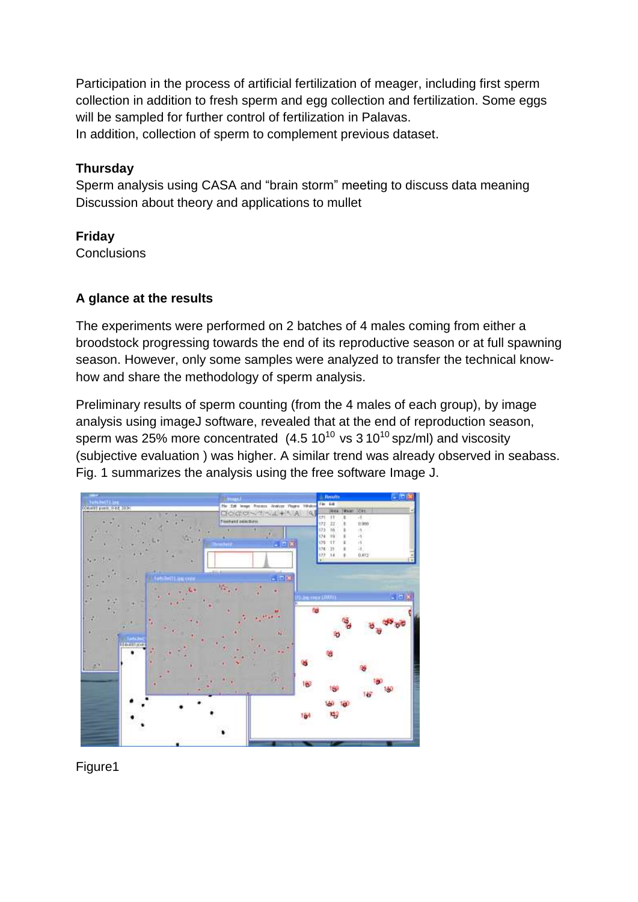Participation in the process of artificial fertilization of meager, including first sperm collection in addition to fresh sperm and egg collection and fertilization. Some eggs will be sampled for further control of fertilization in Palavas. In addition, collection of sperm to complement previous dataset.

### **Thursday**

Sperm analysis using CASA and "brain storm" meeting to discuss data meaning Discussion about theory and applications to mullet

# **Friday**

**Conclusions** 

### **A glance at the results**

The experiments were performed on 2 batches of 4 males coming from either a broodstock progressing towards the end of its reproductive season or at full spawning season. However, only some samples were analyzed to transfer the technical knowhow and share the methodology of sperm analysis.

Preliminary results of sperm counting (from the 4 males of each group), by image analysis using imageJ software, revealed that at the end of reproduction season, sperm was 25% more concentrated  $(4.5 10^{10} \text{ vs } 3 10^{10} \text{ spz/ml})$  and viscosity (subjective evaluation ) was higher. A similar trend was already observed in seabass. Fig. 1 summarizes the analysis using the free software Image J.



Figure1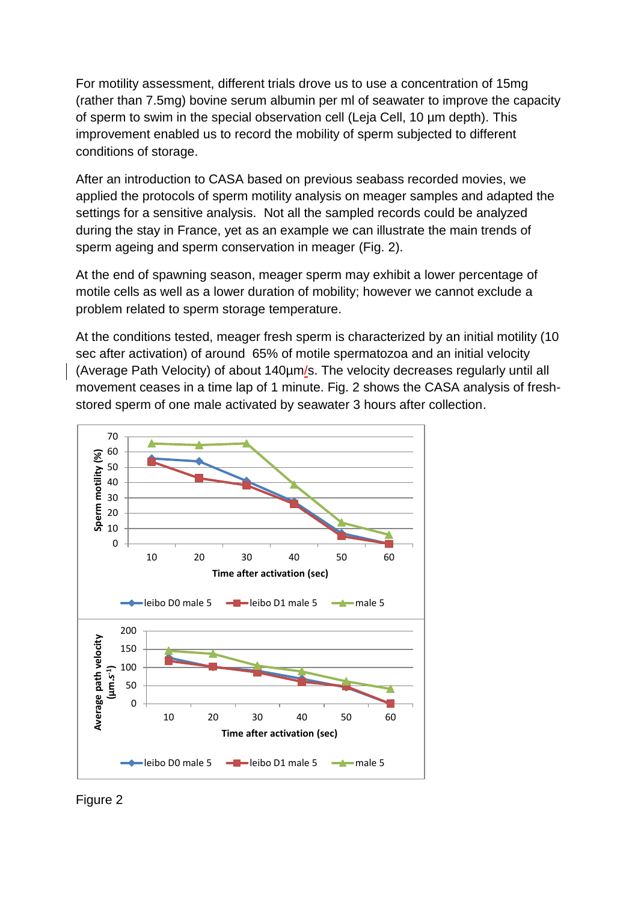For motility assessment, different trials drove us to use a concentration of 15mg (rather than 7.5mg) bovine serum albumin per ml of seawater to improve the capacity of sperm to swim in the special observation cell (Leja Cell, 10 µm depth). This improvement enabled us to record the mobility of sperm subjected to different conditions of storage.

After an introduction to CASA based on previous seabass recorded movies, we applied the protocols of sperm motility analysis on meager samples and adapted the settings for a sensitive analysis. Not all the sampled records could be analyzed during the stay in France, yet as an example we can illustrate the main trends of sperm ageing and sperm conservation in meager (Fig. 2).

At the end of spawning season, meager sperm may exhibit a lower percentage of motile cells as well as a lower duration of mobility; however we cannot exclude a problem related to sperm storage temperature.

At the conditions tested, meager fresh sperm is characterized by an initial motility (10 sec after activation) of around 65% of motile spermatozoa and an initial velocity (Average Path Velocity) of about 140µm/s. The velocity decreases regularly until all movement ceases in a time lap of 1 minute. Fig. 2 shows the CASA analysis of freshstored sperm of one male activated by seawater 3 hours after collection.



Figure 2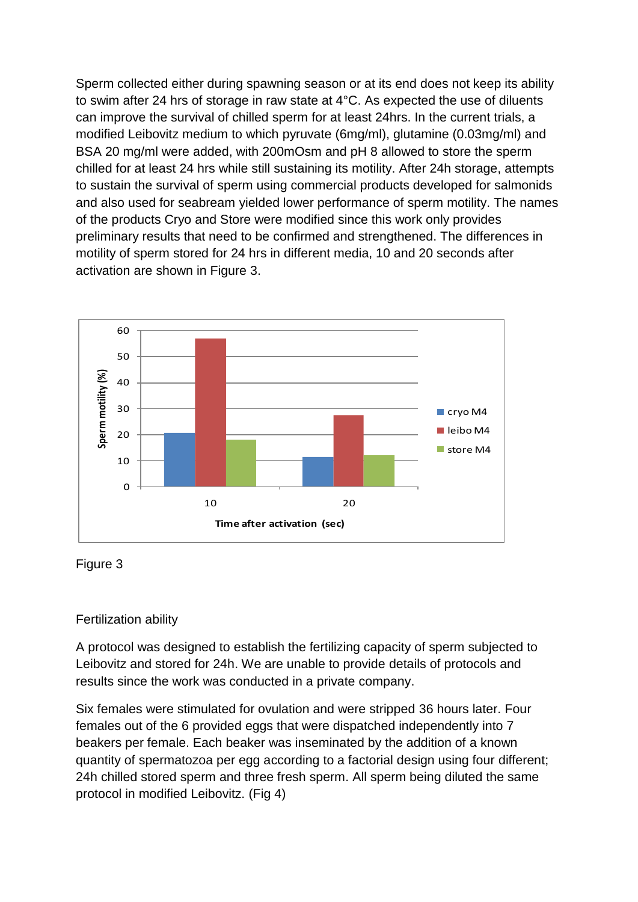Sperm collected either during spawning season or at its end does not keep its ability to swim after 24 hrs of storage in raw state at 4°C. As expected the use of diluents can improve the survival of chilled sperm for at least 24hrs. In the current trials, a modified Leibovitz medium to which pyruvate (6mg/ml), glutamine (0.03mg/ml) and BSA 20 mg/ml were added, with 200mOsm and pH 8 allowed to store the sperm chilled for at least 24 hrs while still sustaining its motility. After 24h storage, attempts to sustain the survival of sperm using commercial products developed for salmonids and also used for seabream yielded lower performance of sperm motility. The names of the products Cryo and Store were modified since this work only provides preliminary results that need to be confirmed and strengthened. The differences in motility of sperm stored for 24 hrs in different media, 10 and 20 seconds after activation are shown in Figure 3.





#### Fertilization ability

A protocol was designed to establish the fertilizing capacity of sperm subjected to Leibovitz and stored for 24h. We are unable to provide details of protocols and results since the work was conducted in a private company.

Six females were stimulated for ovulation and were stripped 36 hours later. Four females out of the 6 provided eggs that were dispatched independently into 7 beakers per female. Each beaker was inseminated by the addition of a known quantity of spermatozoa per egg according to a factorial design using four different; 24h chilled stored sperm and three fresh sperm. All sperm being diluted the same protocol in modified Leibovitz. (Fig 4)